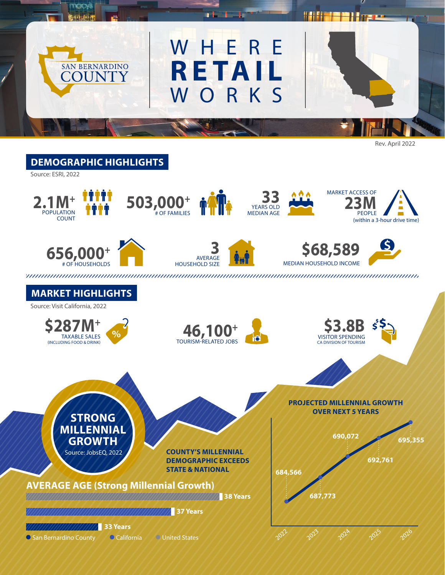

Rev. April 2022

<u> Harry Con</u>

## **DEMOGRAPHIC HIGHLIGHTS**



WHERE

n L

**RETAIL**

WORKS